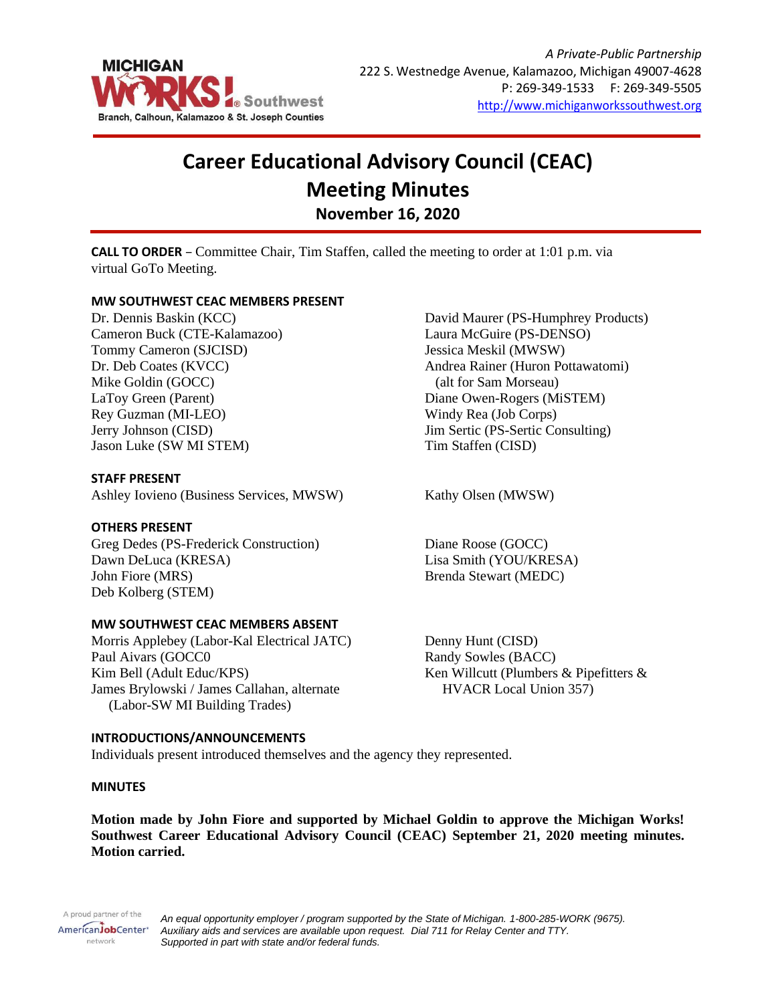

# **Career Educational Advisory Council (CEAC) Meeting Minutes November 16, 2020**

**CALL TO ORDER** – Committee Chair, Tim Staffen, called the meeting to order at 1:01 p.m. via virtual GoTo Meeting.

# **MW SOUTHWEST CEAC MEMBERS PRESENT**

Dr. Dennis Baskin (KCC) Cameron Buck (CTE-Kalamazoo) Tommy Cameron (SJCISD) Dr. Deb Coates (KVCC) Mike Goldin (GOCC) LaToy Green (Parent) Rey Guzman (MI-LEO) Jerry Johnson (CISD) Jason Luke (SW MI STEM)

# **STAFF PRESENT**

Ashley Iovieno (Business Services, MWSW) Kathy Olsen (MWSW)

# **OTHERS PRESENT**

Greg Dedes (PS-Frederick Construction) Dawn DeLuca (KRESA) John Fiore (MRS) Deb Kolberg (STEM)

### **MW SOUTHWEST CEAC MEMBERS ABSENT**

Morris Applebey (Labor-Kal Electrical JATC) Paul Aivars (GOCC0 Kim Bell (Adult Educ/KPS) James Brylowski / James Callahan, alternate (Labor-SW MI Building Trades)

# **INTRODUCTIONS/ANNOUNCEMENTS**

Individuals present introduced themselves and the agency they represented.

#### **MINUTES**

**Motion made by John Fiore and supported by Michael Goldin to approve the Michigan Works! Southwest Career Educational Advisory Council (CEAC) September 21, 2020 meeting minutes. Motion carried.**

A proud partner of the AmericanJobCenter\* network

*An equal opportunity employer / program supported by the State of Michigan. 1-800-285-WORK (9675). Auxiliary aids and services are available upon request. Dial 711 for Relay Center and TTY. Supported in part with state and/or federal funds.*

David Maurer (PS-Humphrey Products) Laura McGuire (PS-DENSO) Jessica Meskil (MWSW) Andrea Rainer (Huron Pottawatomi) (alt for Sam Morseau) Diane Owen-Rogers (MiSTEM) Windy Rea (Job Corps) Jim Sertic (PS-Sertic Consulting) Tim Staffen (CISD)

Diane Roose (GOCC) Lisa Smith (YOU/KRESA) Brenda Stewart (MEDC)

Denny Hunt (CISD) Randy Sowles (BACC) Ken Willcutt (Plumbers & Pipefitters & HVACR Local Union 357)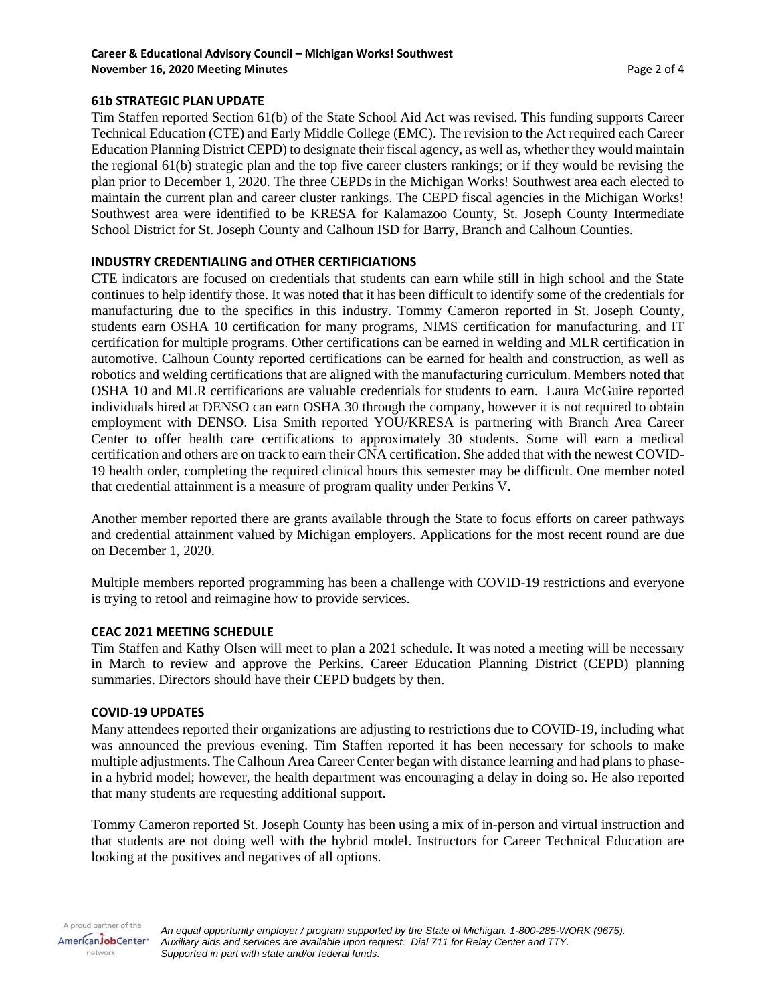# **61b STRATEGIC PLAN UPDATE**

Tim Staffen reported Section 61(b) of the State School Aid Act was revised. This funding supports Career Technical Education (CTE) and Early Middle College (EMC). The revision to the Act required each Career Education Planning District CEPD) to designate their fiscal agency, as well as, whether they would maintain the regional 61(b) strategic plan and the top five career clusters rankings; or if they would be revising the plan prior to December 1, 2020. The three CEPDs in the Michigan Works! Southwest area each elected to maintain the current plan and career cluster rankings. The CEPD fiscal agencies in the Michigan Works! Southwest area were identified to be KRESA for Kalamazoo County, St. Joseph County Intermediate School District for St. Joseph County and Calhoun ISD for Barry, Branch and Calhoun Counties.

# **INDUSTRY CREDENTIALING and OTHER CERTIFICIATIONS**

CTE indicators are focused on credentials that students can earn while still in high school and the State continues to help identify those. It was noted that it has been difficult to identify some of the credentials for manufacturing due to the specifics in this industry. Tommy Cameron reported in St. Joseph County, students earn OSHA 10 certification for many programs, NIMS certification for manufacturing. and IT certification for multiple programs. Other certifications can be earned in welding and MLR certification in automotive. Calhoun County reported certifications can be earned for health and construction, as well as robotics and welding certifications that are aligned with the manufacturing curriculum. Members noted that OSHA 10 and MLR certifications are valuable credentials for students to earn. Laura McGuire reported individuals hired at DENSO can earn OSHA 30 through the company, however it is not required to obtain employment with DENSO. Lisa Smith reported YOU/KRESA is partnering with Branch Area Career Center to offer health care certifications to approximately 30 students. Some will earn a medical certification and others are on track to earn their CNA certification. She added that with the newest COVID-19 health order, completing the required clinical hours this semester may be difficult. One member noted that credential attainment is a measure of program quality under Perkins V.

Another member reported there are grants available through the State to focus efforts on career pathways and credential attainment valued by Michigan employers. Applications for the most recent round are due on December 1, 2020.

Multiple members reported programming has been a challenge with COVID-19 restrictions and everyone is trying to retool and reimagine how to provide services.

#### **CEAC 2021 MEETING SCHEDULE**

Tim Staffen and Kathy Olsen will meet to plan a 2021 schedule. It was noted a meeting will be necessary in March to review and approve the Perkins. Career Education Planning District (CEPD) planning summaries. Directors should have their CEPD budgets by then.

#### **COVID-19 UPDATES**

Many attendees reported their organizations are adjusting to restrictions due to COVID-19, including what was announced the previous evening. Tim Staffen reported it has been necessary for schools to make multiple adjustments. The Calhoun Area Career Center began with distance learning and had plans to phasein a hybrid model; however, the health department was encouraging a delay in doing so. He also reported that many students are requesting additional support.

Tommy Cameron reported St. Joseph County has been using a mix of in-person and virtual instruction and that students are not doing well with the hybrid model. Instructors for Career Technical Education are looking at the positives and negatives of all options.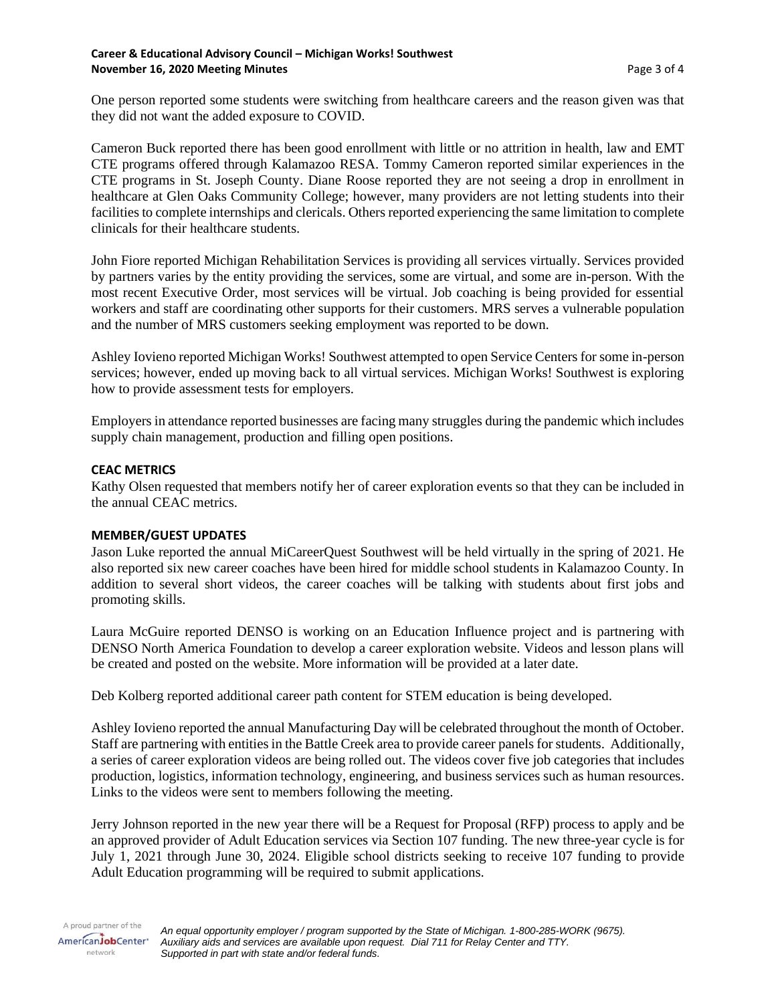One person reported some students were switching from healthcare careers and the reason given was that they did not want the added exposure to COVID.

Cameron Buck reported there has been good enrollment with little or no attrition in health, law and EMT CTE programs offered through Kalamazoo RESA. Tommy Cameron reported similar experiences in the CTE programs in St. Joseph County. Diane Roose reported they are not seeing a drop in enrollment in healthcare at Glen Oaks Community College; however, many providers are not letting students into their facilities to complete internships and clericals. Others reported experiencing the same limitation to complete clinicals for their healthcare students.

John Fiore reported Michigan Rehabilitation Services is providing all services virtually. Services provided by partners varies by the entity providing the services, some are virtual, and some are in-person. With the most recent Executive Order, most services will be virtual. Job coaching is being provided for essential workers and staff are coordinating other supports for their customers. MRS serves a vulnerable population and the number of MRS customers seeking employment was reported to be down.

Ashley Iovieno reported Michigan Works! Southwest attempted to open Service Centers for some in-person services; however, ended up moving back to all virtual services. Michigan Works! Southwest is exploring how to provide assessment tests for employers.

Employers in attendance reported businesses are facing many struggles during the pandemic which includes supply chain management, production and filling open positions.

# **CEAC METRICS**

Kathy Olsen requested that members notify her of career exploration events so that they can be included in the annual CEAC metrics.

### **MEMBER/GUEST UPDATES**

Jason Luke reported the annual MiCareerQuest Southwest will be held virtually in the spring of 2021. He also reported six new career coaches have been hired for middle school students in Kalamazoo County. In addition to several short videos, the career coaches will be talking with students about first jobs and promoting skills.

Laura McGuire reported DENSO is working on an Education Influence project and is partnering with DENSO North America Foundation to develop a career exploration website. Videos and lesson plans will be created and posted on the website. More information will be provided at a later date.

Deb Kolberg reported additional career path content for STEM education is being developed.

Ashley Iovieno reported the annual Manufacturing Day will be celebrated throughout the month of October. Staff are partnering with entities in the Battle Creek area to provide career panels for students. Additionally, a series of career exploration videos are being rolled out. The videos cover five job categories that includes production, logistics, information technology, engineering, and business services such as human resources. Links to the videos were sent to members following the meeting.

Jerry Johnson reported in the new year there will be a Request for Proposal (RFP) process to apply and be an approved provider of Adult Education services via Section 107 funding. The new three-year cycle is for July 1, 2021 through June 30, 2024. Eligible school districts seeking to receive 107 funding to provide Adult Education programming will be required to submit applications.